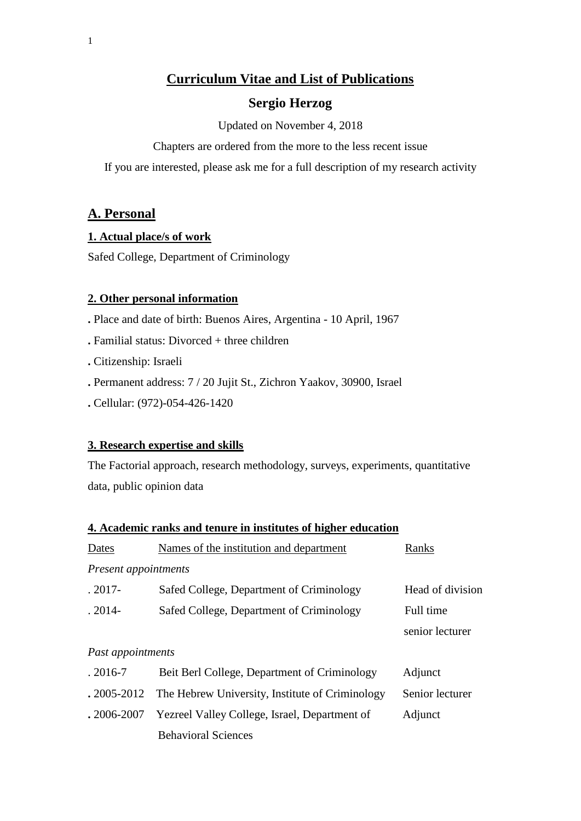## **Curriculum Vitae and List of Publications**

## **Sergio Herzog**

Updated on November 4, 2018

Chapters are ordered from the more to the less recent issue

If you are interested, please ask me for a full description of my research activity

## **A. Personal**

### **1. Actual place/s of work**

Safed College, Department of Criminology

### **2. Other personal information**

**.** Place and date of birth: Buenos Aires, Argentina - 10 April, 1967

- **.** Familial status: Divorced + three children
- **.** Citizenship: Israeli
- **.** Permanent address: 7 / 20 Jujit St., Zichron Yaakov, 30900, Israel
- **.** Cellular: (972)-054-426-1420

### **3. Research expertise and skills**

The Factorial approach, research methodology, surveys, experiments, quantitative data, public opinion data

## **4. Academic ranks and tenure in institutes of higher education**

| Dates                | Names of the institution and department         | Ranks            |  |  |
|----------------------|-------------------------------------------------|------------------|--|--|
| Present appointments |                                                 |                  |  |  |
| $.2017 -$            | Safed College, Department of Criminology        | Head of division |  |  |
| $.2014-$             | Safed College, Department of Criminology        | Full time        |  |  |
|                      |                                                 | senior lecturer  |  |  |
| Past appointments    |                                                 |                  |  |  |
| $.2016 - 7$          | Beit Berl College, Department of Criminology    | Adjunct          |  |  |
| $.2005 - 2012$       | The Hebrew University, Institute of Criminology | Senior lecturer  |  |  |
| $.2006 - 2007$       | Yezreel Valley College, Israel, Department of   | Adjunct          |  |  |
|                      | <b>Behavioral Sciences</b>                      |                  |  |  |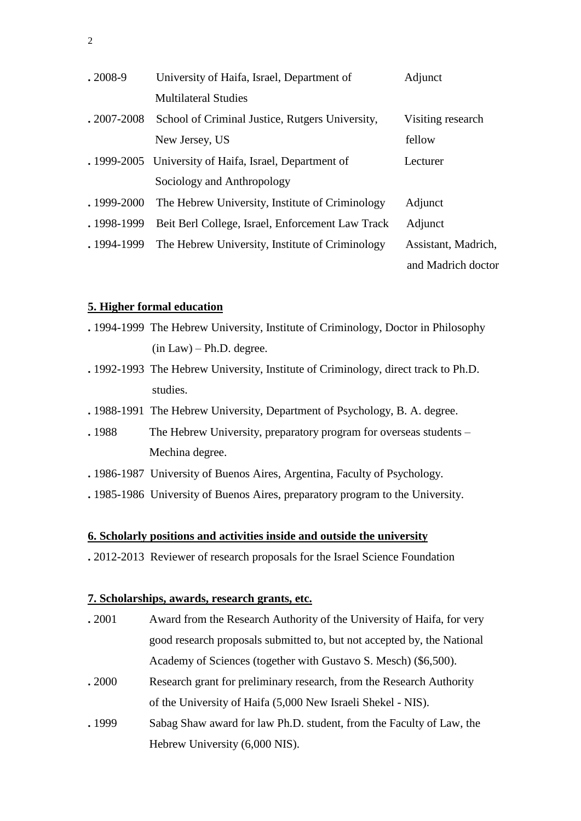| $.2008-9$      | University of Haifa, Israel, Department of             | Adjunct             |
|----------------|--------------------------------------------------------|---------------------|
|                | <b>Multilateral Studies</b>                            |                     |
| $.2007 - 2008$ | School of Criminal Justice, Rutgers University,        | Visiting research   |
|                | New Jersey, US                                         | fellow              |
|                | . 1999-2005 University of Haifa, Israel, Department of | Lecturer            |
|                | Sociology and Anthropology                             |                     |
| .1999-2000     | The Hebrew University, Institute of Criminology        | Adjunct             |
| .1998-1999     | Beit Berl College, Israel, Enforcement Law Track       | Adjunct             |
| . 1994-1999    | The Hebrew University, Institute of Criminology        | Assistant, Madrich, |
|                |                                                        | and Madrich doctor  |

#### **5. Higher formal education**

- **.** 1994-1999 The Hebrew University, Institute of Criminology, Doctor in Philosophy  $(in Law) - Ph.D. degree.$
- **.** 1992-1993 The Hebrew University, Institute of Criminology, direct track to Ph.D. studies.
- **.** 1988-1991 The Hebrew University, Department of Psychology, B. A. degree.
- . 1988 The Hebrew University, preparatory program for overseas students Mechina degree.
- **.** 1986-1987 University of Buenos Aires, Argentina, Faculty of Psychology.
- **.** 1985-1986 University of Buenos Aires, preparatory program to the University.

### **6. Scholarly positions and activities inside and outside the university**

**.** 2012-2013 Reviewer of research proposals for the Israel Science Foundation

## **7. Scholarships, awards, research grants, etc.**

- **.** 2001 Award from the Research Authority of the University of Haifa, for very good research proposals submitted to, but not accepted by, the National Academy of Sciences (together with Gustavo S. Mesch) (\$6,500).
- **.** 2000 Research grant for preliminary research, from the Research Authority of the University of Haifa (5,000 New Israeli Shekel - NIS).
- **.** 1999 Sabag Shaw award for law Ph.D. student, from the Faculty of Law, the Hebrew University (6,000 NIS).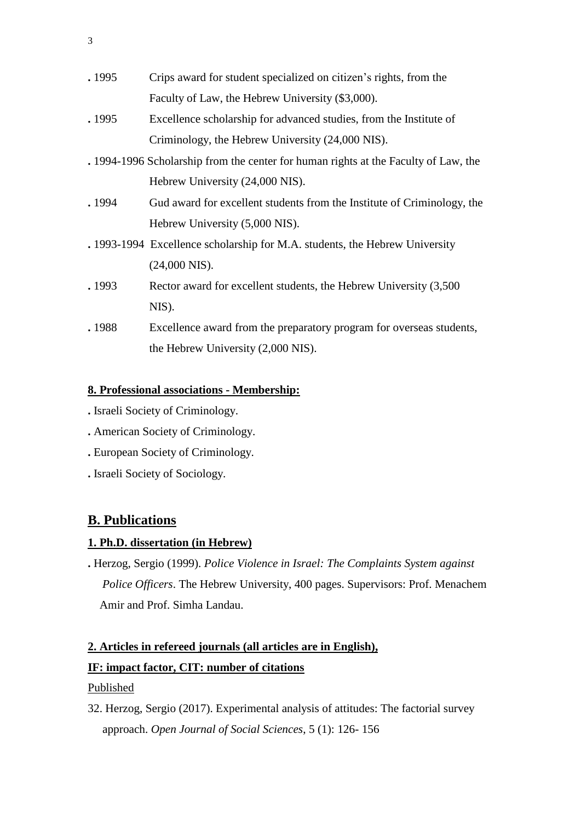| . 1995 | Crips award for student specialized on citizen's rights, from the                   |
|--------|-------------------------------------------------------------------------------------|
|        | Faculty of Law, the Hebrew University (\$3,000).                                    |
| . 1995 | Excellence scholarship for advanced studies, from the Institute of                  |
|        | Criminology, the Hebrew University (24,000 NIS).                                    |
|        | . 1994-1996 Scholarship from the center for human rights at the Faculty of Law, the |
|        | Hebrew University (24,000 NIS).                                                     |
| . 1994 | Gud award for excellent students from the Institute of Criminology, the             |
|        | Hebrew University (5,000 NIS).                                                      |
|        | . 1993-1994 Excellence scholarship for M.A. students, the Hebrew University         |
|        | $(24,000$ NIS).                                                                     |
| . 1993 | Rector award for excellent students, the Hebrew University (3,500)                  |
|        | NIS).                                                                               |
| .1988  | Excellence award from the preparatory program for overseas students,                |
|        | the Hebrew University $(2,000 \text{ NIS})$ .                                       |
|        |                                                                                     |

## **8. Professional associations - Membership:**

- **.** Israeli Society of Criminology.
- **.** American Society of Criminology.
- **.** European Society of Criminology.
- **.** Israeli Society of Sociology.

# **B. Publications**

### **1. Ph.D. dissertation (in Hebrew)**

**.** Herzog, Sergio (1999). *Police Violence in Israel: The Complaints System against Police Officers*. The Hebrew University, 400 pages. Supervisors: Prof. Menachem Amir and Prof. Simha Landau.

# **2. Articles in refereed journals (all articles are in English), IF: impact factor, CIT: number of citations**

### Published

32. Herzog, Sergio (2017). Experimental analysis of attitudes: The factorial survey approach. *Open Journal of Social Sciences*, 5 (1): 126- 156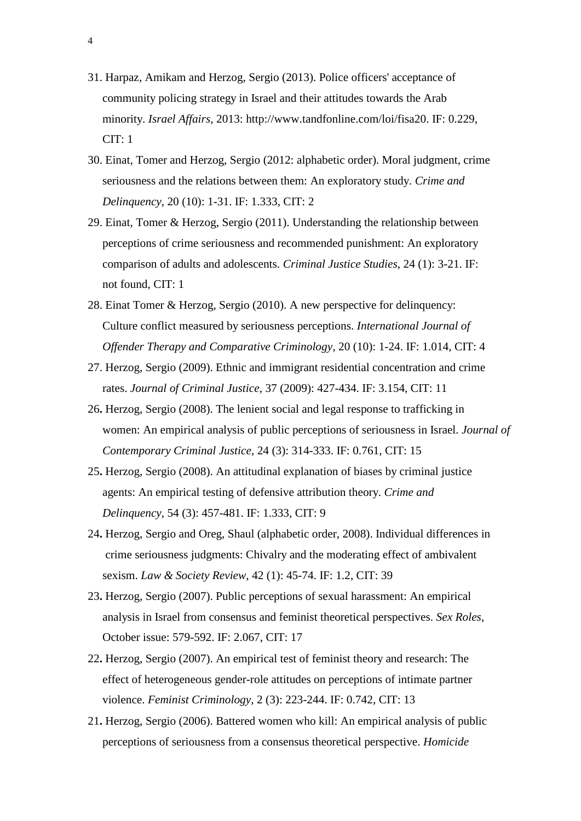- 31. Harpaz, Amikam and Herzog, Sergio (2013). Police officers' acceptance of community policing strategy in Israel and their attitudes towards the Arab minority. *Israel Affairs,* 2013: [http://www.tandfonline.com/loi/fisa20.](http://www.tandfonline.com/loi/fisa20) IF: 0.229, CIT: 1
- 30. Einat, Tomer and Herzog, Sergio (2012: alphabetic order). Moral judgment, crime seriousness and the relations between them: An exploratory study. *Crime and Delinquency*, 20 (10): 1-31. IF: 1.333, CIT: 2
- 29. Einat, Tomer & Herzog, Sergio (2011). Understanding the relationship between perceptions of crime seriousness and recommended punishment: An exploratory comparison of adults and adolescents. *Criminal Justice Studies*, 24 (1): 3-21. IF: not found, CIT: 1
- 28. Einat Tomer & Herzog, Sergio (2010). A new perspective for delinquency: Culture conflict measured by seriousness perceptions. *International Journal of Offender Therapy and Comparative Criminology*, 20 (10): 1-24. IF: 1.014, CIT: 4
- 27. Herzog, Sergio (2009). Ethnic and immigrant residential concentration and crime rates. *Journal of Criminal Justice*, 37 (2009): 427-434. IF: 3.154, CIT: 11
- 26**.** Herzog, Sergio (2008). The lenient social and legal response to trafficking in women: An empirical analysis of public perceptions of seriousness in Israel. *Journal of Contemporary Criminal Justice*, 24 (3): 314-333. IF: 0.761, CIT: 15
- 25**.** Herzog, Sergio (2008). An attitudinal explanation of biases by criminal justice agents: An empirical testing of defensive attribution theory. *Crime and Delinquency*, 54 (3): 457-481. IF: 1.333, CIT: 9
- 24**.** Herzog, Sergio and Oreg, Shaul (alphabetic order, 2008). Individual differences in crime seriousness judgments: Chivalry and the moderating effect of ambivalent sexism. *Law & Society Review*, 42 (1): 45-74. IF: 1.2, CIT: 39
- 23**.** Herzog, Sergio (2007). Public perceptions of sexual harassment: An empirical analysis in Israel from consensus and feminist theoretical perspectives. *Sex Roles*, October issue: 579-592. IF: 2.067, CIT: 17
- 22**.** Herzog, Sergio (2007). An empirical test of feminist theory and research: The effect of heterogeneous gender-role attitudes on perceptions of intimate partner violence. *Feminist Criminology*, 2 (3): 223-244. IF: 0.742, CIT: 13
- 21**.** Herzog, Sergio (2006). Battered women who kill: An empirical analysis of public perceptions of seriousness from a consensus theoretical perspective. *Homicide*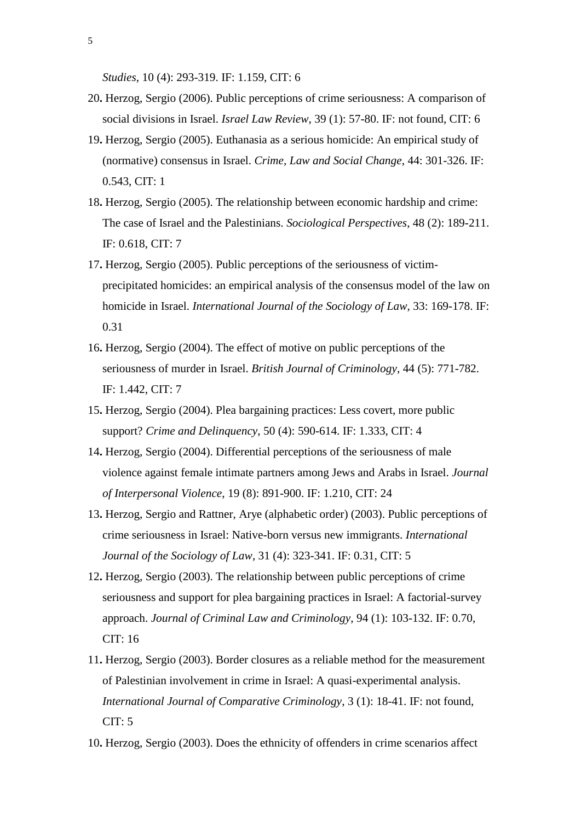*Studies*, 10 (4): 293-319. IF: 1.159, CIT: 6

- 20**.** Herzog, Sergio (2006). Public perceptions of crime seriousness: A comparison of social divisions in Israel. *Israel Law Review*, 39 (1): 57-80. IF: not found, CIT: 6
- 19**.** Herzog, Sergio (2005). Euthanasia as a serious homicide: An empirical study of (normative) consensus in Israel. *Crime, Law and Social Change*, 44: 301-326. IF: 0.543, CIT: 1
- 18**.** Herzog, Sergio (2005). The relationship between economic hardship and crime: The case of Israel and the Palestinians. *Sociological Perspectives*, 48 (2): 189-211. IF: 0.618, CIT: 7
- 17**.** Herzog, Sergio (2005). Public perceptions of the seriousness of victim precipitated homicides: an empirical analysis of the consensus model of the law on homicide in Israel. *International Journal of the Sociology of Law*, 33: 169-178. IF: 0.31
- 16**.** Herzog, Sergio (2004). The effect of motive on public perceptions of the seriousness of murder in Israel. *British Journal of Criminology*, 44 (5): 771-782. IF: 1.442, CIT: 7
- 15**.** Herzog, Sergio (2004). Plea bargaining practices: Less covert, more public support? *Crime and Delinquency*, 50 (4): 590-614. IF: 1.333, CIT: 4
- 14**.** Herzog, Sergio (2004). Differential perceptions of the seriousness of male violence against female intimate partners among Jews and Arabs in Israel. *Journal of Interpersonal Violence*, 19 (8): 891-900. IF: 1.210, CIT: 24
- 13**.** Herzog, Sergio and Rattner, Arye (alphabetic order) (2003). Public perceptions of crime seriousness in Israel: Native-born versus new immigrants. *International Journal of the Sociology of Law*, 31 (4): 323-341. IF: 0.31, CIT: 5
- 12**.** Herzog, Sergio (2003). The relationship between public perceptions of crime seriousness and support for plea bargaining practices in Israel: A factorial-survey approach. *Journal of Criminal Law and Criminology*, 94 (1): 103-132. IF: 0.70, CIT: 16
- 11**.** Herzog, Sergio (2003). Border closures as a reliable method for the measurement of Palestinian involvement in crime in Israel: A quasi-experimental analysis.  *International Journal of Comparative Criminology*, 3 (1): 18-41. IF: not found,  $CIT: 5$
- 10**.** Herzog, Sergio (2003). Does the ethnicity of offenders in crime scenarios affect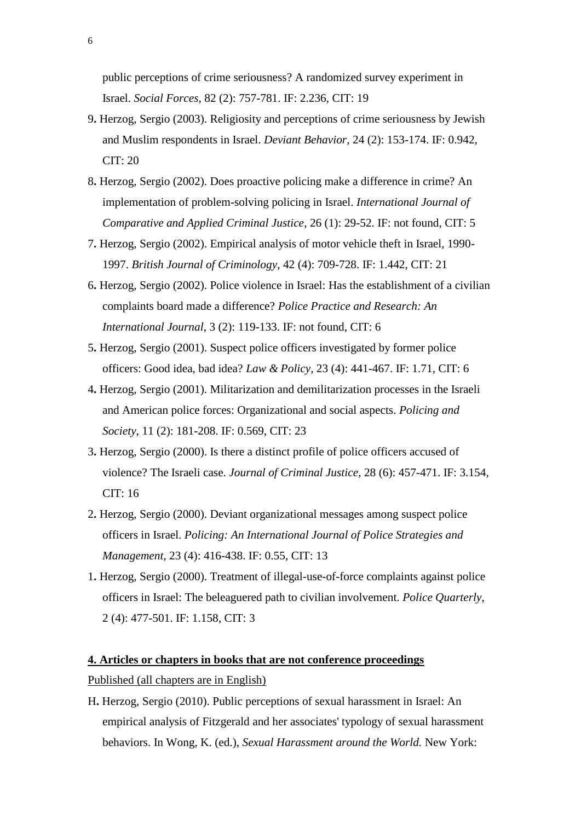public perceptions of crime seriousness? A randomized survey experiment in Israel. *Social Forces*, 82 (2): 757-781. IF: 2.236, CIT: 19

- 9**.** Herzog, Sergio (2003). Religiosity and perceptions of crime seriousness by Jewish and Muslim respondents in Israel. *Deviant Behavior*, 24 (2): 153-174. IF: 0.942, CIT: 20
- 8**.** Herzog, Sergio (2002). Does proactive policing make a difference in crime? An implementation of problem-solving policing in Israel. *International Journal of Comparative and Applied Criminal Justice*, 26 (1): 29-52. IF: not found, CIT: 5
- 7**.** Herzog, Sergio (2002). Empirical analysis of motor vehicle theft in Israel, 1990- 1997. *British Journal of Criminology*, 42 (4): 709-728. IF: 1.442, CIT: 21
- 6**.** Herzog, Sergio (2002). Police violence in Israel: Has the establishment of a civilian complaints board made a difference? *Police Practice and Research: An International Journal*, 3 (2): 119-133. IF: not found, CIT: 6
- 5**.** Herzog, Sergio (2001). Suspect police officers investigated by former police officers: Good idea, bad idea? *Law & Policy*, 23 (4): 441-467. IF: 1.71, CIT: 6
- 4**.** Herzog, Sergio (2001). Militarization and demilitarization processes in the Israeli and American police forces: Organizational and social aspects. *Policing and Society*, 11 (2): 181-208. IF: 0.569, CIT: 23
- 3**.** Herzog, Sergio (2000). Is there a distinct profile of police officers accused of violence? The Israeli case. *Journal of Criminal Justice*, 28 (6): 457-471. IF: 3.154, CIT: 16
- 2**.** Herzog, Sergio (2000). Deviant organizational messages among suspect police officers in Israel. *Policing: An International Journal of Police Strategies and Management*, 23 (4): 416-438. IF: 0.55, CIT: 13
- 1**.** Herzog, Sergio (2000). Treatment of illegal-use-of-force complaints against police officers in Israel: The beleaguered path to civilian involvement. *Police Quarterly*, 2 (4): 477-501. IF: 1.158, CIT: 3

## **4. Articles or chapters in books that are not conference proceedings**

Published (all chapters are in English)

H**.** Herzog, Sergio (2010). Public perceptions of sexual harassment in Israel: An empirical analysis of Fitzgerald and her associates' typology of sexual harassment behaviors. In Wong, K. (ed.), *Sexual Harassment around the World.* New York: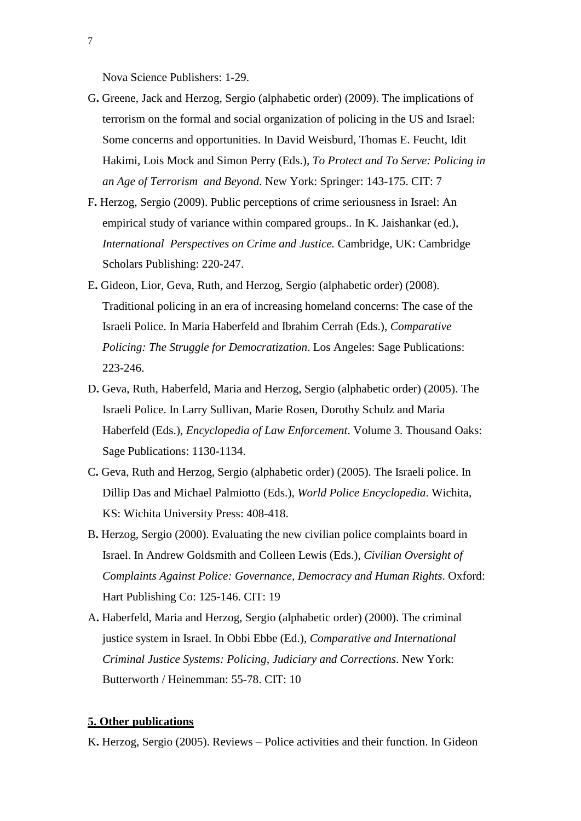Nova Science Publishers: 1-29.

- G**.** Greene, Jack and Herzog, Sergio (alphabetic order) (2009). The implications of terrorism on the formal and social organization of policing in the US and Israel: Some concerns and opportunities. In David Weisburd, Thomas E. Feucht, Idit Hakimi, Lois Mock and Simon Perry (Eds.), *To Protect and To Serve: Policing in an Age of Terrorism and Beyond*. New York: Springer: 143-175. CIT: 7
- F**.** Herzog, Sergio (2009). Public perceptions of crime seriousness in Israel: An empirical study of variance within compared groups.. In K. Jaishankar (ed.), *International Perspectives on Crime and Justice.* Cambridge, UK: Cambridge Scholars Publishing: 220-247.
- E**.** Gideon, Lior, Geva, Ruth, and Herzog, Sergio (alphabetic order) (2008). Traditional policing in an era of increasing homeland concerns: The case of the Israeli Police. In Maria Haberfeld and Ibrahim Cerrah (Eds.), *Comparative Policing: The Struggle for Democratization*. Los Angeles: Sage Publications: 223-246.
- D**.** Geva, Ruth, Haberfeld, Maria and Herzog, Sergio (alphabetic order) (2005). The Israeli Police. In Larry Sullivan, Marie Rosen, Dorothy Schulz and Maria Haberfeld (Eds.), *Encyclopedia of Law Enforcement*. Volume 3. Thousand Oaks: Sage Publications: 1130-1134.
- C**.** Geva, Ruth and Herzog, Sergio (alphabetic order) (2005). The Israeli police. In Dillip Das and Michael Palmiotto (Eds.), *World Police Encyclopedia*. Wichita, KS: Wichita University Press: 408-418.
- B**.** Herzog, Sergio (2000). Evaluating the new civilian police complaints board in Israel. In Andrew Goldsmith and Colleen Lewis (Eds.), *Civilian Oversight of Complaints Against Police: Governance, Democracy and Human Rights*. Oxford: Hart Publishing Co: 125-146. CIT: 19
- A**.** Haberfeld, Maria and Herzog, Sergio (alphabetic order) (2000). The criminal justice system in Israel. In Obbi Ebbe (Ed.), *Comparative and International Criminal Justice Systems: Policing, Judiciary and Corrections*. New York: Butterworth / Heinemman: 55-78. CIT: 10

#### **5. Other publications**

K**.** Herzog, Sergio (2005). Reviews – Police activities and their function. In Gideon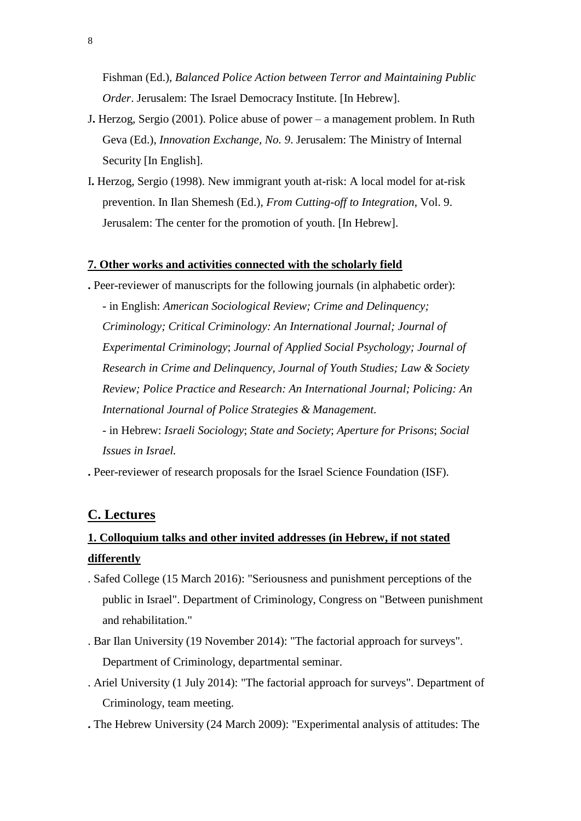Fishman (Ed.), *Balanced Police Action between Terror and Maintaining Public Order*. Jerusalem: The Israel Democracy Institute. [In Hebrew].

- J**.** Herzog, Sergio (2001). Police abuse of power a management problem. In Ruth Geva (Ed.), *Innovation Exchange, No. 9*. Jerusalem: The Ministry of Internal Security [In English].
- I**.** Herzog, Sergio (1998). New immigrant youth at-risk: A local model for at-risk prevention. In Ilan Shemesh (Ed.), *From Cutting-off to Integration*, Vol. 9. Jerusalem: The center for the promotion of youth. [In Hebrew].

#### **7. Other works and activities connected with the scholarly field**

**.** Peer-reviewer of manuscripts for the following journals (in alphabetic order):

 - in English: *American Sociological Review; Crime and Delinquency; Criminology; Critical Criminology: An International Journal; Journal of Experimental Criminology*; *Journal of Applied Social Psychology; Journal of Research in Crime and Delinquency, Journal of Youth Studies; Law & Society Review; Police Practice and Research: An International Journal; Policing: An International Journal of Police Strategies & Management.*

- in Hebrew: *Israeli Sociology*; *State and Society*; *Aperture for Prisons*; *Social Issues in Israel.*

**.** Peer-reviewer of research proposals for the Israel Science Foundation (ISF).

### **C. Lectures**

# **1. Colloquium talks and other invited addresses (in Hebrew, if not stated differently**

- . Safed College (15 March 2016): "Seriousness and punishment perceptions of the public in Israel". Department of Criminology, Congress on "Between punishment and rehabilitation."
- . Bar Ilan University (19 November 2014): "The factorial approach for surveys". Department of Criminology, departmental seminar.
- . Ariel University (1 July 2014): "The factorial approach for surveys". Department of Criminology, team meeting.
- **.** The Hebrew University (24 March 2009): "Experimental analysis of attitudes: The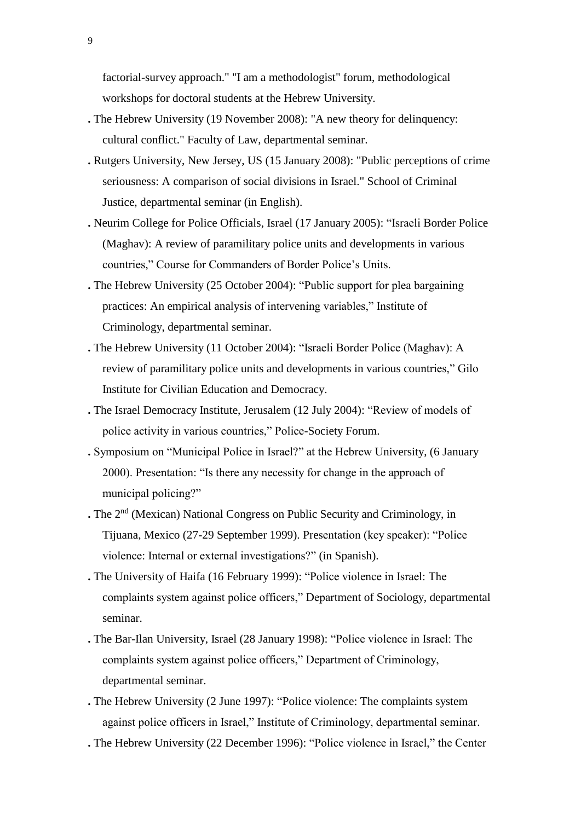factorial-survey approach." "I am a methodologist" forum, methodological workshops for doctoral students at the Hebrew University.

- **.** The Hebrew University (19 November 2008): "A new theory for delinquency: cultural conflict." Faculty of Law, departmental seminar.
- **.** Rutgers University, New Jersey, US (15 January 2008): "Public perceptions of crime seriousness: A comparison of social divisions in Israel." School of Criminal Justice, departmental seminar (in English).
- **.** Neurim College for Police Officials, Israel (17 January 2005): "Israeli Border Police (Maghav): A review of paramilitary police units and developments in various countries," Course for Commanders of Border Police's Units.
- **.** The Hebrew University (25 October 2004): "Public support for plea bargaining practices: An empirical analysis of intervening variables," Institute of Criminology, departmental seminar.
- **.** The Hebrew University (11 October 2004): "Israeli Border Police (Maghav): A review of paramilitary police units and developments in various countries," Gilo Institute for Civilian Education and Democracy.
- **.** The Israel Democracy Institute, Jerusalem (12 July 2004): "Review of models of police activity in various countries," Police-Society Forum.
- **.** Symposium on "Municipal Police in Israel?" at the Hebrew University, (6 January 2000). Presentation: "Is there any necessity for change in the approach of municipal policing?"
- **.** The 2nd (Mexican) National Congress on Public Security and Criminology, in Tijuana, Mexico (27-29 September 1999). Presentation (key speaker): "Police violence: Internal or external investigations?" (in Spanish).
- **.** The University of Haifa (16 February 1999): "Police violence in Israel: The complaints system against police officers," Department of Sociology, departmental seminar.
- **.** The Bar-Ilan University, Israel (28 January 1998): "Police violence in Israel: The complaints system against police officers," Department of Criminology, departmental seminar.
- **.** The Hebrew University (2 June 1997): "Police violence: The complaints system against police officers in Israel," Institute of Criminology, departmental seminar.
- **.** The Hebrew University (22 December 1996): "Police violence in Israel," the Center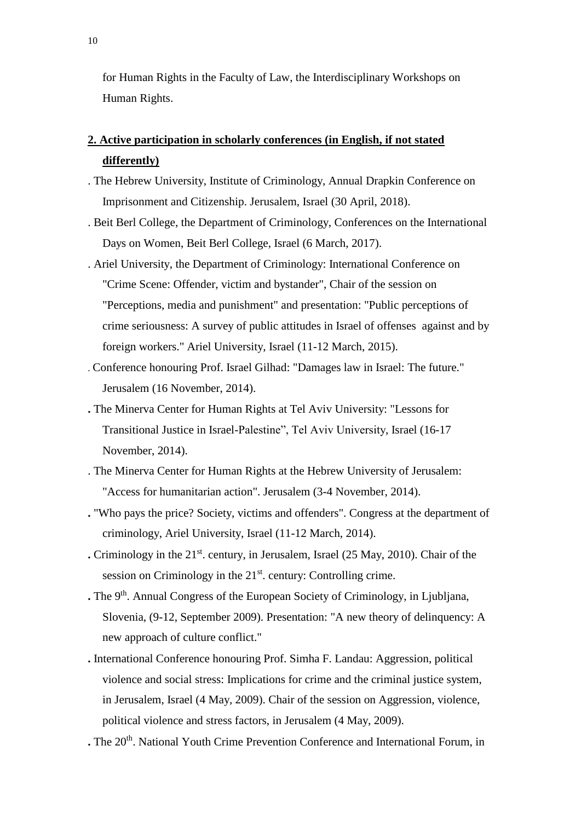for Human Rights in the Faculty of Law, the Interdisciplinary Workshops on Human Rights.

# **2. Active participation in scholarly conferences (in English, if not stated differently)**

- . The Hebrew University, Institute of Criminology, Annual Drapkin Conference on Imprisonment and Citizenship. Jerusalem, Israel (30 April, 2018).
- . Beit Berl College, the Department of Criminology, Conferences on the International Days on Women, Beit Berl College, Israel (6 March, 2017).
- . Ariel University, the Department of Criminology: International Conference on "Crime Scene: Offender, victim and bystander", Chair of the session on "Perceptions, media and punishment" and presentation: "Public perceptions of crime seriousness: A survey of public attitudes in Israel of offenses against and by foreign workers." Ariel University, Israel (11-12 March, 2015).
- . Conference honouring Prof. Israel Gilhad: "Damages law in Israel: The future." Jerusalem (16 November, 2014).
- **.** The Minerva Center for Human Rights at Tel Aviv University: "Lessons for Transitional Justice in Israel-Palestine", Tel Aviv University, Israel (16-17 November, 2014).
- . The Minerva Center for Human Rights at the Hebrew University of Jerusalem: "Access for humanitarian action". Jerusalem (3-4 November, 2014).
- **.** "Who pays the price? Society, victims and offenders". Congress at the department of criminology, Ariel University, Israel (11-12 March, 2014).
- **.** Criminology in the 21<sup>st</sup>. century, in Jerusalem, Israel (25 May, 2010). Chair of the session on Criminology in the  $21<sup>st</sup>$  century: Controlling crime.
- **.** The 9<sup>th</sup>. Annual Congress of the European Society of Criminology, in Ljubljana, Slovenia, (9-12, September 2009). Presentation: "A new theory of delinquency: A new approach of culture conflict."
- **.** International Conference honouring Prof. Simha F. Landau: Aggression, political violence and social stress: Implications for crime and the criminal justice system, in Jerusalem, Israel (4 May, 2009). Chair of the session on Aggression, violence, political violence and stress factors, in Jerusalem (4 May, 2009).
- . The 20<sup>th</sup>. National Youth Crime Prevention Conference and International Forum, in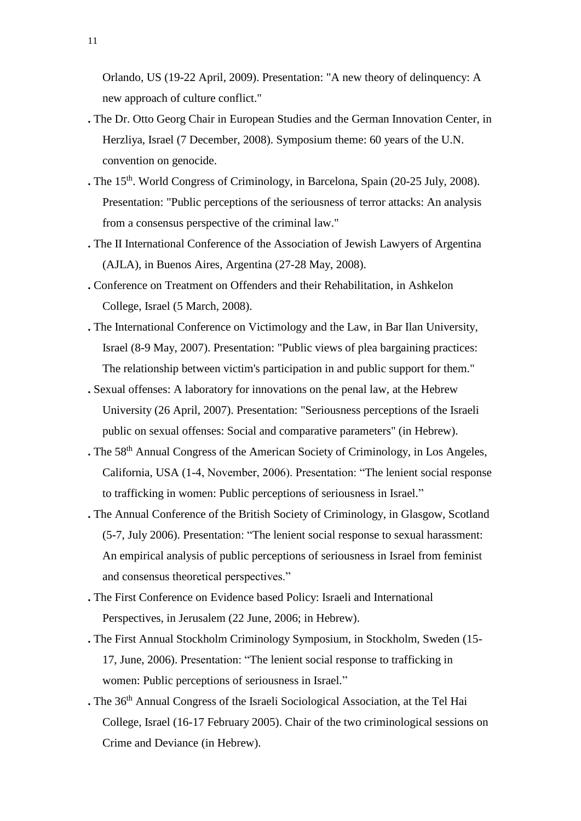Orlando, US (19-22 April, 2009). Presentation: "A new theory of delinquency: A new approach of culture conflict."

- **.** The Dr. Otto Georg Chair in European Studies and the German Innovation Center, in Herzliya, Israel (7 December, 2008). Symposium theme: 60 years of the U.N. convention on genocide.
- **.** The 15th. World Congress of Criminology, in Barcelona, Spain (20-25 July, 2008). Presentation: "Public perceptions of the seriousness of terror attacks: An analysis from a consensus perspective of the criminal law."
- **.** The II International Conference of the Association of Jewish Lawyers of Argentina (AJLA), in Buenos Aires, Argentina (27-28 May, 2008).
- **.** Conference on Treatment on Offenders and their Rehabilitation, in Ashkelon College, Israel (5 March, 2008).
- **.** The International Conference on Victimology and the Law, in Bar Ilan University, Israel (8-9 May, 2007). Presentation: "Public views of plea bargaining practices: The relationship between victim's participation in and public support for them."
- **.** Sexual offenses: A laboratory for innovations on the penal law, at the Hebrew University (26 April, 2007). Presentation: "Seriousness perceptions of the Israeli public on sexual offenses: Social and comparative parameters" (in Hebrew).
- **.** The 58th Annual Congress of the American Society of Criminology, in Los Angeles, California, USA (1-4, November, 2006). Presentation: "The lenient social response to trafficking in women: Public perceptions of seriousness in Israel."
- **.** The Annual Conference of the British Society of Criminology, in Glasgow, Scotland (5-7, July 2006). Presentation: "The lenient social response to sexual harassment: An empirical analysis of public perceptions of seriousness in Israel from feminist and consensus theoretical perspectives."
- **.** The First Conference on Evidence based Policy: Israeli and International Perspectives, in Jerusalem (22 June, 2006; in Hebrew).
- **.** The First Annual Stockholm Criminology Symposium, in Stockholm, Sweden (15- 17, June, 2006). Presentation: "The lenient social response to trafficking in women: Public perceptions of seriousness in Israel."
- **.** The 36th Annual Congress of the Israeli Sociological Association, at the Tel Hai College, Israel (16-17 February 2005). Chair of the two criminological sessions on Crime and Deviance (in Hebrew).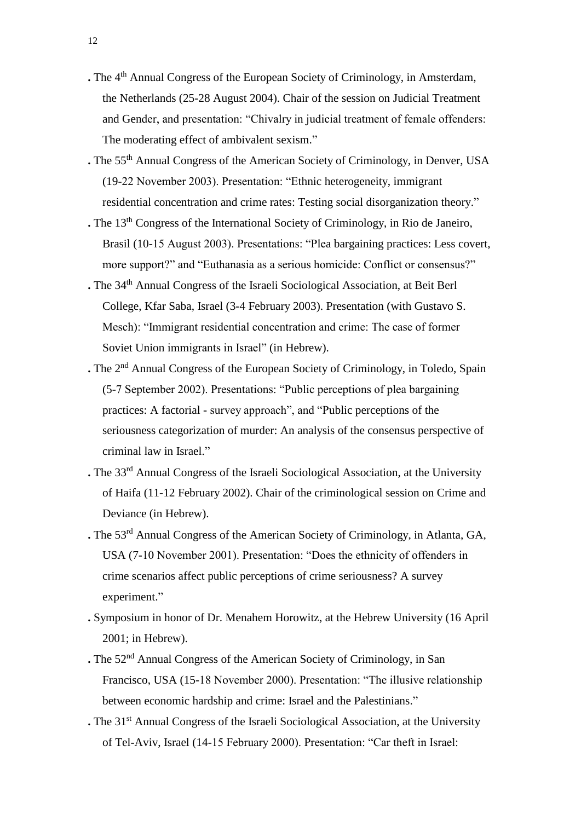- **.** The 4th Annual Congress of the European Society of Criminology, in Amsterdam, the Netherlands (25-28 August 2004). Chair of the session on Judicial Treatment and Gender, and presentation: "Chivalry in judicial treatment of female offenders: The moderating effect of ambivalent sexism."
- **.** The 55th Annual Congress of the American Society of Criminology, in Denver, USA (19-22 November 2003). Presentation: "Ethnic heterogeneity, immigrant residential concentration and crime rates: Testing social disorganization theory."
- **.** The 13th Congress of the International Society of Criminology, in Rio de Janeiro, Brasil (10-15 August 2003). Presentations: "Plea bargaining practices: Less covert, more support?" and "Euthanasia as a serious homicide: Conflict or consensus?"
- **.** The 34th Annual Congress of the Israeli Sociological Association, at Beit Berl College, Kfar Saba, Israel (3-4 February 2003). Presentation (with Gustavo S. Mesch): "Immigrant residential concentration and crime: The case of former Soviet Union immigrants in Israel" (in Hebrew).
- **.** The 2nd Annual Congress of the European Society of Criminology, in Toledo, Spain (5-7 September 2002). Presentations: "Public perceptions of plea bargaining practices: A factorial - survey approach", and "Public perceptions of the seriousness categorization of murder: An analysis of the consensus perspective of criminal law in Israel."
- **.** The 33rd Annual Congress of the Israeli Sociological Association, at the University of Haifa (11-12 February 2002). Chair of the criminological session on Crime and Deviance (in Hebrew).
- **.** The 53rd Annual Congress of the American Society of Criminology, in Atlanta, GA, USA (7-10 November 2001). Presentation: "Does the ethnicity of offenders in crime scenarios affect public perceptions of crime seriousness? A survey experiment."
- **.** Symposium in honor of Dr. Menahem Horowitz, at the Hebrew University (16 April 2001; in Hebrew).
- **.** The 52nd Annual Congress of the American Society of Criminology, in San Francisco, USA (15-18 November 2000). Presentation: "The illusive relationship between economic hardship and crime: Israel and the Palestinians."
- **.** The 31<sup>st</sup> Annual Congress of the Israeli Sociological Association, at the University of Tel-Aviv, Israel (14-15 February 2000). Presentation: "Car theft in Israel: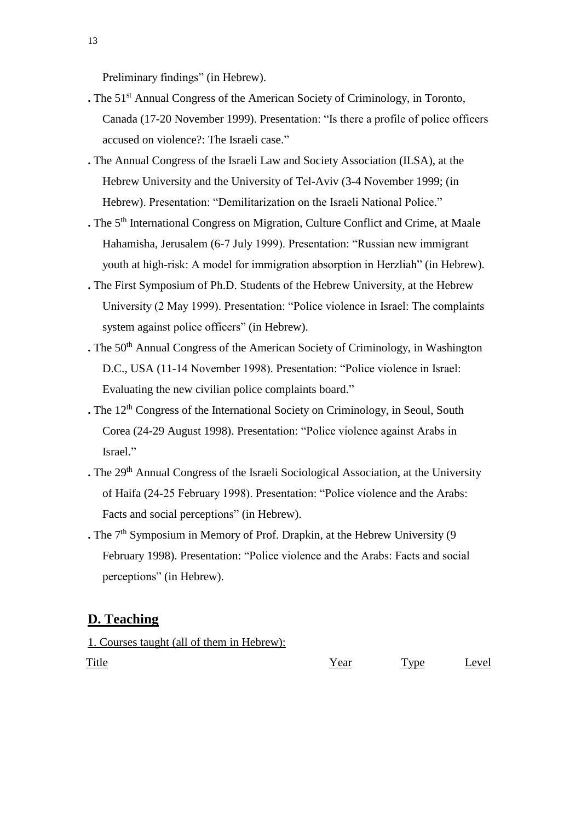Preliminary findings" (in Hebrew).

- **.** The 51<sup>st</sup> Annual Congress of the American Society of Criminology, in Toronto, Canada (17-20 November 1999). Presentation: "Is there a profile of police officers accused on violence?: The Israeli case."
- **.** The Annual Congress of the Israeli Law and Society Association (ILSA), at the Hebrew University and the University of Tel-Aviv (3-4 November 1999; (in Hebrew). Presentation: "Demilitarization on the Israeli National Police."
- **.** The 5th International Congress on Migration, Culture Conflict and Crime, at Maale Hahamisha, Jerusalem (6-7 July 1999). Presentation: "Russian new immigrant youth at high-risk: A model for immigration absorption in Herzliah" (in Hebrew).
- **.** The First Symposium of Ph.D. Students of the Hebrew University, at the Hebrew University (2 May 1999). Presentation: "Police violence in Israel: The complaints system against police officers" (in Hebrew).
- **.** The 50<sup>th</sup> Annual Congress of the American Society of Criminology, in Washington D.C., USA (11-14 November 1998). Presentation: "Police violence in Israel: Evaluating the new civilian police complaints board."
- **.** The 12<sup>th</sup> Congress of the International Society on Criminology, in Seoul, South Corea (24-29 August 1998). Presentation: "Police violence against Arabs in Israel."
- **.** The 29th Annual Congress of the Israeli Sociological Association, at the University of Haifa (24-25 February 1998). Presentation: "Police violence and the Arabs: Facts and social perceptions" (in Hebrew).
- **.** The 7<sup>th</sup> Symposium in Memory of Prof. Drapkin, at the Hebrew University (9) February 1998). Presentation: "Police violence and the Arabs: Facts and social perceptions" (in Hebrew).

## **D. Teaching**

## 1. Courses taught (all of them in Hebrew):

Title The Type Level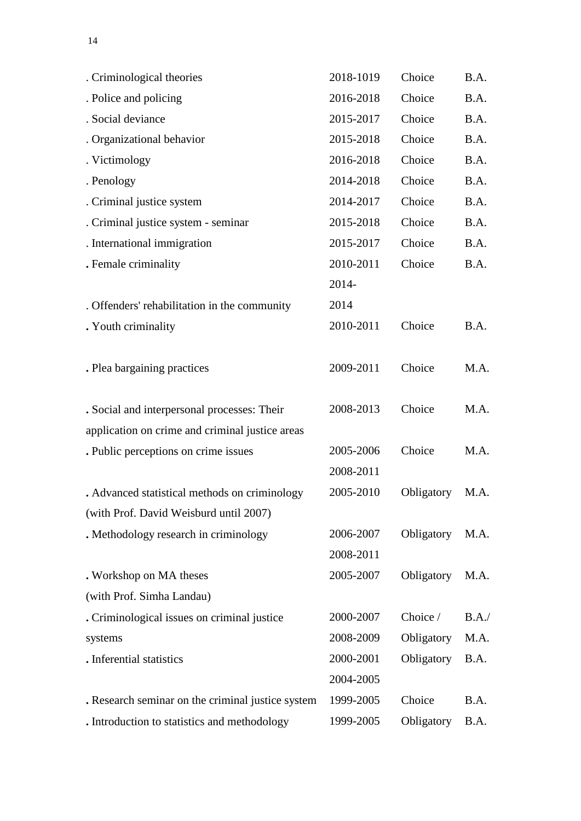| . Criminological theories                         | 2018-1019 | Choice     | B.A.  |
|---------------------------------------------------|-----------|------------|-------|
| . Police and policing                             | 2016-2018 | Choice     | B.A.  |
| . Social deviance                                 | 2015-2017 | Choice     | B.A.  |
| . Organizational behavior                         | 2015-2018 | Choice     | B.A.  |
| . Victimology                                     | 2016-2018 | Choice     | B.A.  |
| . Penology                                        | 2014-2018 | Choice     | B.A.  |
| . Criminal justice system                         | 2014-2017 | Choice     | B.A.  |
| . Criminal justice system - seminar               | 2015-2018 | Choice     | B.A.  |
| . International immigration                       | 2015-2017 | Choice     | B.A.  |
| . Female criminality                              | 2010-2011 | Choice     | B.A.  |
|                                                   | 2014-     |            |       |
| . Offenders' rehabilitation in the community      | 2014      |            |       |
| . Youth criminality                               | 2010-2011 | Choice     | B.A.  |
| . Plea bargaining practices                       | 2009-2011 | Choice     | M.A.  |
| . Social and interpersonal processes: Their       | 2008-2013 | Choice     | M.A.  |
| application on crime and criminal justice areas   |           |            |       |
| . Public perceptions on crime issues              | 2005-2006 | Choice     | M.A.  |
|                                                   | 2008-2011 |            |       |
| . Advanced statistical methods on criminology     | 2005-2010 | Obligatory | M.A.  |
| (with Prof. David Weisburd until 2007)            |           |            |       |
| . Methodology research in criminology             | 2006-2007 | Obligatory | M.A.  |
|                                                   | 2008-2011 |            |       |
| . Workshop on MA theses                           | 2005-2007 | Obligatory | M.A.  |
| (with Prof. Simha Landau)                         |           |            |       |
| . Criminological issues on criminal justice       | 2000-2007 | Choice /   | B.A./ |
| systems                                           | 2008-2009 | Obligatory | M.A.  |
| . Inferential statistics                          | 2000-2001 | Obligatory | B.A.  |
|                                                   | 2004-2005 |            |       |
| . Research seminar on the criminal justice system | 1999-2005 | Choice     | B.A.  |
| . Introduction to statistics and methodology      | 1999-2005 | Obligatory | B.A.  |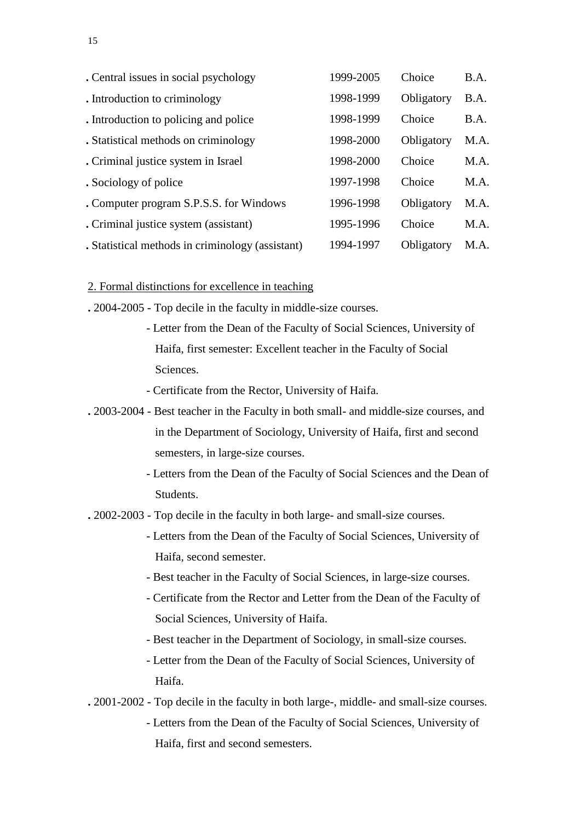| . Central issues in social psychology            | 1999-2005 | Choice     | B.A. |
|--------------------------------------------------|-----------|------------|------|
| . Introduction to criminology                    | 1998-1999 | Obligatory | B.A. |
| . Introduction to policing and police            | 1998-1999 | Choice     | B.A. |
| . Statistical methods on criminology             | 1998-2000 | Obligatory | M.A. |
| . Criminal justice system in Israel              | 1998-2000 | Choice     | M.A. |
| . Sociology of police                            | 1997-1998 | Choice     | M.A. |
| . Computer program S.P.S.S. for Windows          | 1996-1998 | Obligatory | M.A. |
| . Criminal justice system (assistant)            | 1995-1996 | Choice     | M.A. |
| . Statistical methods in criminology (assistant) | 1994-1997 | Obligatory | M.A. |

### 2. Formal distinctions for excellence in teaching

- **.** 2004-2005 Top decile in the faculty in middle-size courses.
	- Letter from the Dean of the Faculty of Social Sciences, University of Haifa, first semester: Excellent teacher in the Faculty of Social Sciences.
	- Certificate from the Rector, University of Haifa.
- **.** 2003-2004 Best teacher in the Faculty in both small- and middle-size courses, and in the Department of Sociology, University of Haifa, first and second semesters, in large-size courses.
	- Letters from the Dean of the Faculty of Social Sciences and the Dean of Students.

**.** 2002-2003 - Top decile in the faculty in both large- and small-size courses.

- Letters from the Dean of the Faculty of Social Sciences, University of Haifa, second semester.
- Best teacher in the Faculty of Social Sciences, in large-size courses.
- Certificate from the Rector and Letter from the Dean of the Faculty of Social Sciences, University of Haifa.
- Best teacher in the Department of Sociology, in small-size courses.
- Letter from the Dean of the Faculty of Social Sciences, University of Haifa.
- **.** 2001-2002 Top decile in the faculty in both large-, middle- and small-size courses.
	- Letters from the Dean of the Faculty of Social Sciences, University of Haifa, first and second semesters.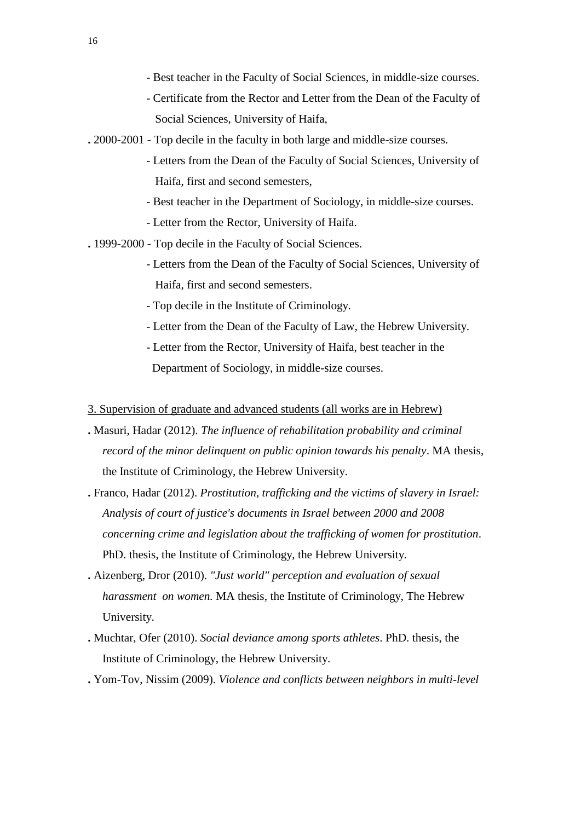- Best teacher in the Faculty of Social Sciences, in middle-size courses.
- Certificate from the Rector and Letter from the Dean of the Faculty of Social Sciences, University of Haifa,
- **.** 2000-2001 Top decile in the faculty in both large and middle-size courses.
	- Letters from the Dean of the Faculty of Social Sciences, University of Haifa, first and second semesters,
	- Best teacher in the Department of Sociology, in middle-size courses.
	- Letter from the Rector, University of Haifa.
- **.** 1999-2000 Top decile in the Faculty of Social Sciences.
	- Letters from the Dean of the Faculty of Social Sciences, University of Haifa, first and second semesters.
	- Top decile in the Institute of Criminology.
	- Letter from the Dean of the Faculty of Law, the Hebrew University.
	- Letter from the Rector, University of Haifa, best teacher in the Department of Sociology, in middle-size courses.
- 3. Supervision of graduate and advanced students (all works are in Hebrew)
- **.** Masuri, Hadar (2012). *The influence of rehabilitation probability and criminal record of the minor delinquent on public opinion towards his penalty*. MA thesis, the Institute of Criminology, the Hebrew University.
- **.** Franco, Hadar (2012). *Prostitution, trafficking and the victims of slavery in Israel: Analysis of court of justice's documents in Israel between 2000 and 2008 concerning crime and legislation about the trafficking of women for prostitution*. PhD. thesis, the Institute of Criminology, the Hebrew University.
- **.** Aizenberg, Dror (2010). *"Just world" perception and evaluation of sexual harassment on women.* MA thesis, the Institute of Criminology, The Hebrew University.
- **.** Muchtar, Ofer (2010). *Social deviance among sports athletes*. PhD. thesis, the Institute of Criminology, the Hebrew University.
- **.** Yom-Tov, Nissim (2009). *Violence and conflicts between neighbors in multi-level*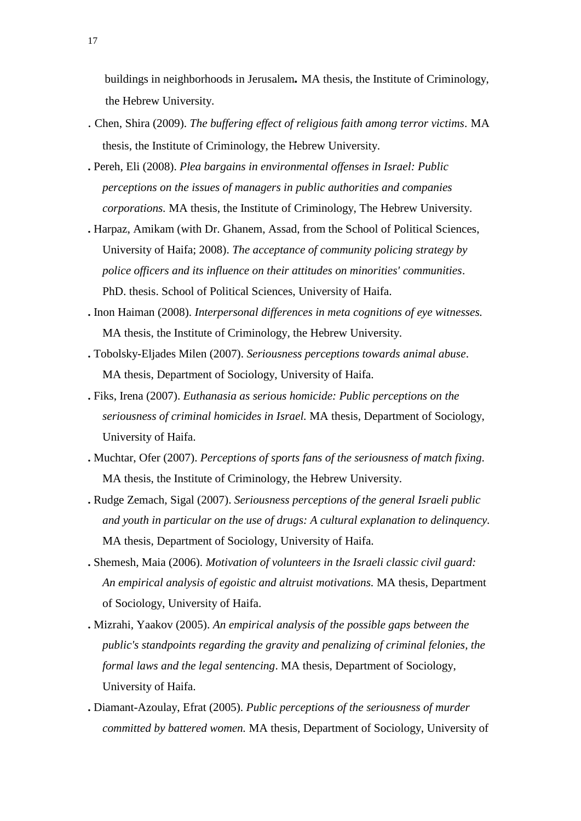buildings in neighborhoods in Jerusalem*.* MA thesis, the Institute of Criminology, the Hebrew University.

- . Chen, Shira (2009). *The buffering effect of religious faith among terror victims*. MA thesis, the Institute of Criminology, the Hebrew University.
- **.** Pereh, Eli (2008). *Plea bargains in environmental offenses in Israel: Public perceptions on the issues of managers in public authorities and companies corporations.* MA thesis, the Institute of Criminology, The Hebrew University.
- **.** Harpaz, Amikam (with Dr. Ghanem, Assad, from the School of Political Sciences, University of Haifa; 2008). *The acceptance of community policing strategy by police officers and its influence on their attitudes on minorities' communities*. PhD. thesis. School of Political Sciences, University of Haifa.
- **.** Inon Haiman (2008). *Interpersonal differences in meta cognitions of eye witnesses.* MA thesis, the Institute of Criminology, the Hebrew University.
- **.** Tobolsky-Eljades Milen (2007). *Seriousness perceptions towards animal abuse*. MA thesis, Department of Sociology, University of Haifa.
- **.** Fiks, Irena (2007). *Euthanasia as serious homicide: Public perceptions on the seriousness of criminal homicides in Israel.* MA thesis, Department of Sociology, University of Haifa.
- **.** Muchtar, Ofer (2007). *Perceptions of sports fans of the seriousness of match fixing*. MA thesis, the Institute of Criminology, the Hebrew University.
- **.** Rudge Zemach, Sigal (2007). *Seriousness perceptions of the general Israeli public and youth in particular on the use of drugs: A cultural explanation to delinquency.* MA thesis, Department of Sociology, University of Haifa.
- **.** Shemesh, Maia (2006). *Motivation of volunteers in the Israeli classic civil guard: An empirical analysis of egoistic and altruist motivations.* MA thesis, Department of Sociology, University of Haifa.
- **.** Mizrahi, Yaakov (2005). *An empirical analysis of the possible gaps between the public's standpoints regarding the gravity and penalizing of criminal felonies, the formal laws and the legal sentencing*. MA thesis, Department of Sociology, University of Haifa.
- **.** Diamant-Azoulay, Efrat (2005). *Public perceptions of the seriousness of murder committed by battered women.* MA thesis, Department of Sociology, University of